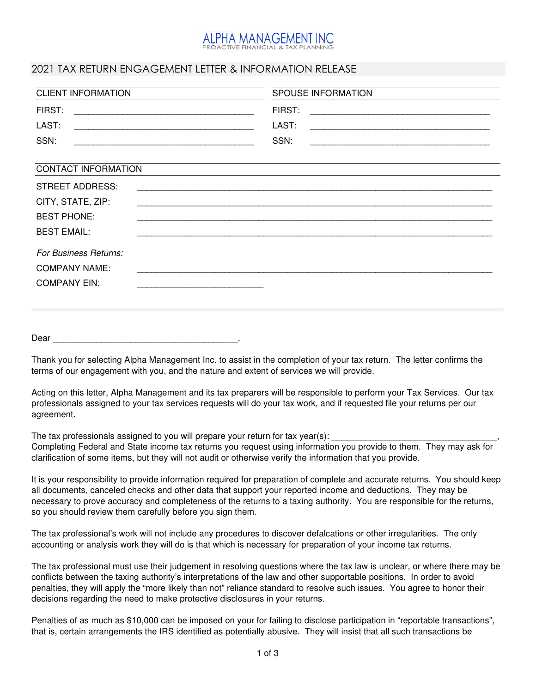# PHA MANAGEMENT INC.

## 2021 TAX RETURN ENGAGEMENT LETTER & INFORMATION RELEASE

| <b>CLIENT INFORMATION</b> | <b>SPOUSE INFORMATION</b>                                                                                                      |
|---------------------------|--------------------------------------------------------------------------------------------------------------------------------|
| FIRST:                    | FIRST:                                                                                                                         |
| LAST:                     | LAST:                                                                                                                          |
| SSN:                      | SSN:<br><u> 1989 - Johann Harry Barn, mars and deutscher Stadt and deutscher Stadt and deutscher Stadt and deutscher Stadt</u> |
| CONTACT INFORMATION       |                                                                                                                                |
| STREET ADDRESS:           |                                                                                                                                |
| CITY, STATE, ZIP:         |                                                                                                                                |
| <b>BEST PHONE:</b>        |                                                                                                                                |
| <b>BEST EMAIL:</b>        |                                                                                                                                |
| For Business Returns:     |                                                                                                                                |
| <b>COMPANY NAME:</b>      |                                                                                                                                |
| <b>COMPANY EIN:</b>       |                                                                                                                                |
|                           |                                                                                                                                |
|                           |                                                                                                                                |

Dear \_\_\_\_\_\_\_\_\_\_\_\_\_\_\_\_\_\_\_\_\_\_\_\_\_\_\_\_\_\_\_\_\_\_\_\_\_\_,

Thank you for selecting Alpha Management Inc. to assist in the completion of your tax return. The letter confirms the terms of our engagement with you, and the nature and extent of services we will provide.

Acting on this letter, Alpha Management and its tax preparers will be responsible to perform your Tax Services. Our tax professionals assigned to your tax services requests will do your tax work, and if requested file your returns per our agreement.

The tax professionals assigned to you will prepare your return for tax year(s):

Completing Federal and State income tax returns you request using information you provide to them. They may ask for clarification of some items, but they will not audit or otherwise verify the information that you provide.

It is your responsibility to provide information required for preparation of complete and accurate returns. You should keep all documents, canceled checks and other data that support your reported income and deductions. They may be necessary to prove accuracy and completeness of the returns to a taxing authority. You are responsible for the returns, so you should review them carefully before you sign them.

The tax professional's work will not include any procedures to discover defalcations or other irregularities. The only accounting or analysis work they will do is that which is necessary for preparation of your income tax returns.

The tax professional must use their judgement in resolving questions where the tax law is unclear, or where there may be conflicts between the taxing authority's interpretations of the law and other supportable positions. In order to avoid penalties, they will apply the "more likely than not" reliance standard to resolve such issues. You agree to honor their decisions regarding the need to make protective disclosures in your returns.

Penalties of as much as \$10,000 can be imposed on your for failing to disclose participation in "reportable transactions", that is, certain arrangements the IRS identified as potentially abusive. They will insist that all such transactions be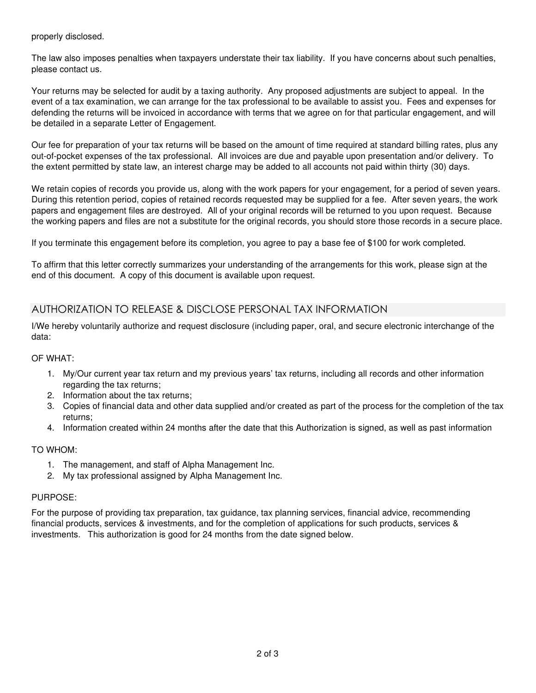properly disclosed.

The law also imposes penalties when taxpayers understate their tax liability. If you have concerns about such penalties, please contact us.

Your returns may be selected for audit by a taxing authority. Any proposed adjustments are subject to appeal. In the event of a tax examination, we can arrange for the tax professional to be available to assist you. Fees and expenses for defending the returns will be invoiced in accordance with terms that we agree on for that particular engagement, and will be detailed in a separate Letter of Engagement.

Our fee for preparation of your tax returns will be based on the amount of time required at standard billing rates, plus any out-of-pocket expenses of the tax professional. All invoices are due and payable upon presentation and/or delivery. To the extent permitted by state law, an interest charge may be added to all accounts not paid within thirty (30) days.

We retain copies of records you provide us, along with the work papers for your engagement, for a period of seven years. During this retention period, copies of retained records requested may be supplied for a fee. After seven years, the work papers and engagement files are destroyed. All of your original records will be returned to you upon request. Because the working papers and files are not a substitute for the original records, you should store those records in a secure place.

If you terminate this engagement before its completion, you agree to pay a base fee of \$100 for work completed.

To affirm that this letter correctly summarizes your understanding of the arrangements for this work, please sign at the end of this document. A copy of this document is available upon request.

## AUTHORIZATION TO RELEASE & DISCLOSE PERSONAL TAX INFORMATION

I/We hereby voluntarily authorize and request disclosure (including paper, oral, and secure electronic interchange of the data:

### OF WHAT:

- 1. My/Our current year tax return and my previous years' tax returns, including all records and other information regarding the tax returns;
- 2. Information about the tax returns;
- 3. Copies of financial data and other data supplied and/or created as part of the process for the completion of the tax returns;
- 4. Information created within 24 months after the date that this Authorization is signed, as well as past information

### TO WHOM:

- 1. The management, and staff of Alpha Management Inc.
- 2. My tax professional assigned by Alpha Management Inc.

#### PURPOSE:

For the purpose of providing tax preparation, tax guidance, tax planning services, financial advice, recommending financial products, services & investments, and for the completion of applications for such products, services & investments. This authorization is good for 24 months from the date signed below.